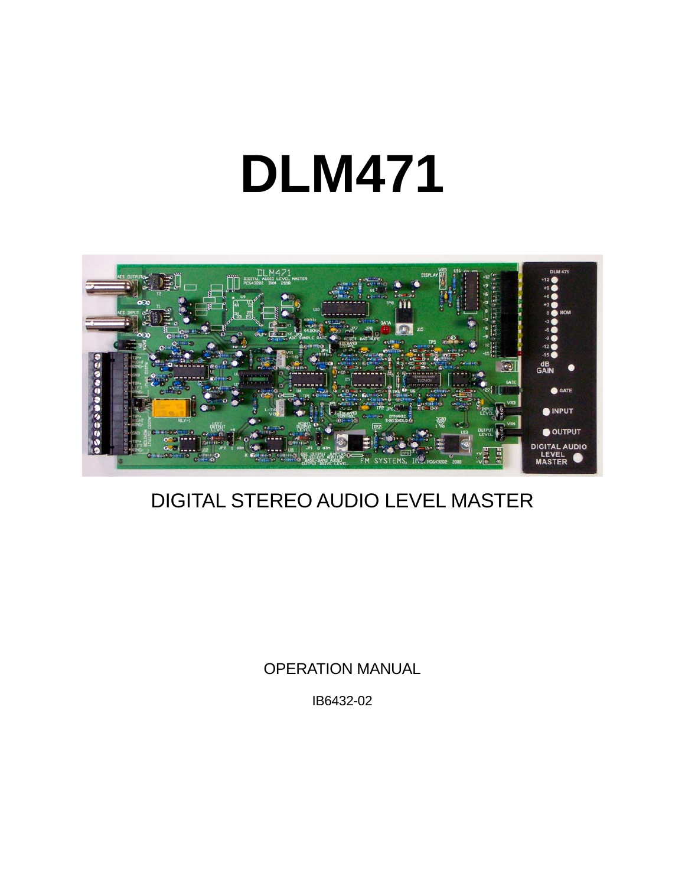# **DLM471**



## DIGITAL STEREO AUDIO LEVEL MASTER

OPERATION MANUAL

IB6432-02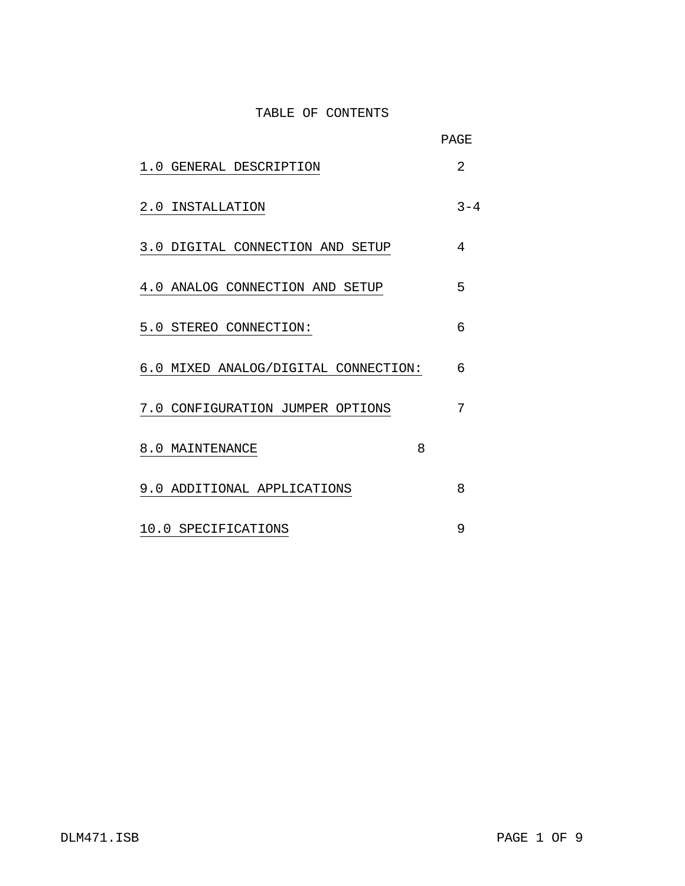#### TABLE OF CONTENTS

|                                      | PAGE    |
|--------------------------------------|---------|
| 1.0 GENERAL DESCRIPTION              | 2       |
| 2.0 INSTALLATION                     | $3 - 4$ |
| 3.0 DIGITAL CONNECTION AND SETUP     | 4       |
| 4.0 ANALOG CONNECTION AND SETUP      | 5       |
| 5.0 STEREO CONNECTION:               | 6       |
| 6.0 MIXED ANALOG/DIGITAL CONNECTION: | 6       |
| 7.0 CONFIGURATION JUMPER OPTIONS     | 7       |
| 8.0 MAINTENANCE                      | 8       |
| 9.0 ADDITIONAL APPLICATIONS          | 8       |
| 10.0 SPECIFICATIONS                  | 9       |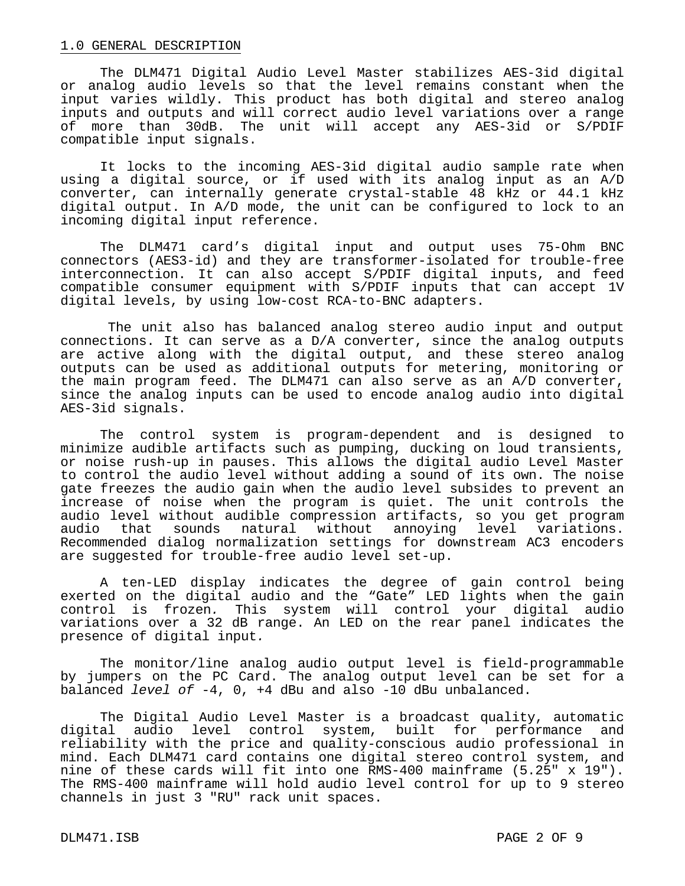#### 1.0 GENERAL DESCRIPTION

 The DLM471 Digital Audio Level Master stabilizes AES-3id digital or analog audio levels so that the level remains constant when the input varies wildly. This product has both digital and stereo analog inputs and outputs and will correct audio level variations over a range of more than 30dB. The unit will accept any AES-3id or S/PDIF compatible input signals.

It locks to the incoming AES-3id digital audio sample rate when using a digital source, or if used with its analog input as an A/D converter, can internally generate crystal-stable 48 kHz or 44.1 kHz digital output. In A/D mode, the unit can be configured to lock to an incoming digital input reference.

 The DLM471 card's digital input and output uses 75-Ohm BNC connectors (AES3-id) and they are transformer-isolated for trouble-free interconnection. It can also accept S/PDIF digital inputs, and feed compatible consumer equipment with S/PDIF inputs that can accept 1V digital levels, by using low-cost RCA-to-BNC adapters.

 The unit also has balanced analog stereo audio input and output connections. It can serve as a D/A converter, since the analog outputs are active along with the digital output, and these stereo analog outputs can be used as additional outputs for metering, monitoring or the main program feed. The DLM471 can also serve as an A/D converter, since the analog inputs can be used to encode analog audio into digital AES-3id signals.

 The control system is program-dependent and is designed to minimize audible artifacts such as pumping, ducking on loud transients, or noise rush-up in pauses. This allows the digital audio Level Master to control the audio level without adding a sound of its own. The noise gate freezes the audio gain when the audio level subsides to prevent an increase of noise when the program is quiet. The unit controls the audio level without audible compression artifacts, so you get program audio that sounds natural without annoying level variations. Recommended dialog normalization settings for downstream AC3 encoders are suggested for trouble-free audio level set-up.

 A ten-LED display indicates the degree of gain control being exerted on the digital audio and the "Gate" LED lights when the gain control is frozen*.* This system will control your digital audio variations over a 32 dB range. An LED on the rear panel indicates the presence of digital input*.* 

 The monitor/line analog audio output level is field-programmable by jumpers on the PC Card. The analog output level can be set for a balanced *level of* -4, 0, +4 dBu and also -10 dBu unbalanced.

 The Digital Audio Level Master is a broadcast quality, automatic digital audio level control system, built for performance and reliability with the price and quality-conscious audio professional in mind. Each DLM471 card contains one digital stereo control system, and nine of these cards will fit into one RMS-400 mainframe (5.25" x 19"). The RMS-400 mainframe will hold audio level control for up to 9 stereo channels in just 3 "RU" rack unit spaces.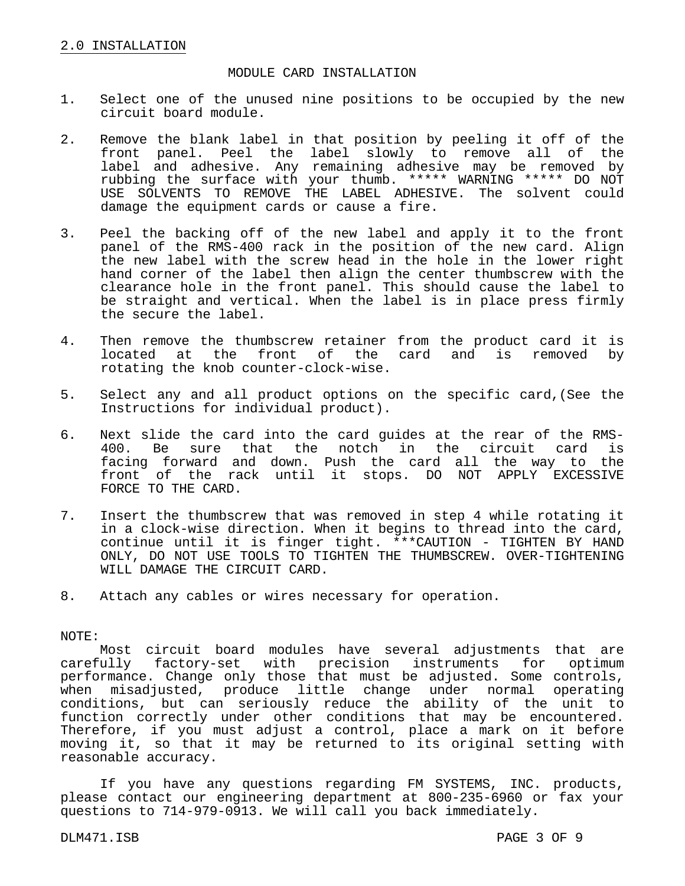#### MODULE CARD INSTALLATION

- 1. Select one of the unused nine positions to be occupied by the new circuit board module.
- 2. Remove the blank label in that position by peeling it off of the front panel. Peel the label slowly to remove all of the label and adhesive. Any remaining adhesive may be removed by rubbing the surface with your thumb. \*\*\*\*\* WARNING \*\*\*\*\* DO NOT USE SOLVENTS TO REMOVE THE LABEL ADHESIVE. The solvent could damage the equipment cards or cause a fire.
- 3. Peel the backing off of the new label and apply it to the front panel of the RMS-400 rack in the position of the new card. Align the new label with the screw head in the hole in the lower right hand corner of the label then align the center thumbscrew with the clearance hole in the front panel. This should cause the label to be straight and vertical. When the label is in place press firmly the secure the label.
- 4. Then remove the thumbscrew retainer from the product card it is<br>located at the front of the card and is removed by front of the card and is removed by rotating the knob counter-clock-wise.
- 5. Select any and all product options on the specific card,(See the Instructions for individual product).
- 6. Next slide the card into the card guides at the rear of the RMS-400. Be sure that the notch in the circuit card is facing forward and down. Push the card all the way to the front of the rack until it stops. DO NOT APPLY EXCESSIVE FORCE TO THE CARD.
- 7. Insert the thumbscrew that was removed in step 4 while rotating it in a clock-wise direction. When it begins to thread into the card, continue until it is finger tight. \*\*\*CAUTION - TIGHTEN BY HAND ONLY, DO NOT USE TOOLS TO TIGHTEN THE THUMBSCREW. OVER-TIGHTENING WILL DAMAGE THE CIRCUIT CARD.
- 8. Attach any cables or wires necessary for operation.

#### NOTE:

 Most circuit board modules have several adjustments that are carefully factory-set with precision instruments for optimum performance. Change only those that must be adjusted. Some controls, when misadjusted, produce little change under normal operating conditions, but can seriously reduce the ability of the unit to function correctly under other conditions that may be encountered. Therefore, if you must adjust a control, place a mark on it before moving it, so that it may be returned to its original setting with reasonable accuracy.

 If you have any questions regarding FM SYSTEMS, INC. products, please contact our engineering department at 800-235-6960 or fax your questions to 714-979-0913. We will call you back immediately.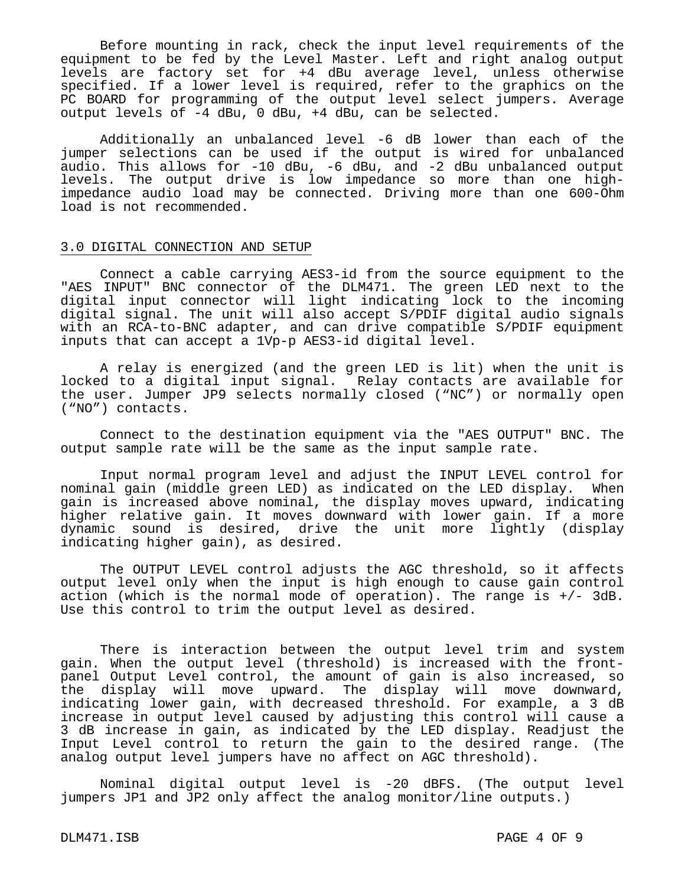Before mounting in rack, check the input level requirements of the equipment to be fed by the Level Master. Left and right analog output levels are factory set for +4 dBu average level, unless otherwise specified. If a lower level is required, refer to the graphics on the PC BOARD for programming of the output level select jumpers. Average output levels of -4 dBu, 0 dBu, +4 dBu, can be selected.

 Additionally an unbalanced level -6 dB lower than each of the jumper selections can be used if the output is wired for unbalanced audio. This allows for -10 dBu, -6 dBu, and -2 dBu unbalanced output levels. The output drive is low impedance so more than one highimpedance audio load may be connected. Driving more than one 600-Ohm load is not recommended.

#### 3.0 DIGITAL CONNECTION AND SETUP

 Connect a cable carrying AES3-id from the source equipment to the "AES INPUT" BNC connector of the DLM471. The green LED next to the digital input connector will light indicating lock to the incoming digital signal. The unit will also accept S/PDIF digital audio signals with an RCA-to-BNC adapter, and can drive compatible S/PDIF equipment inputs that can accept a 1Vp-p AES3-id digital level.

A relay is energized (and the green LED is lit) when the unit is locked to a digital input signal. Relay contacts are available for the user. Jumper JP9 selects normally closed ("NC") or normally open ("NO") contacts.

 Connect to the destination equipment via the "AES OUTPUT" BNC. The output sample rate will be the same as the input sample rate.

 Input normal program level and adjust the INPUT LEVEL control for nominal gain (middle green LED) as indicated on the LED display. When gain is increased above nominal, the display moves upward, indicating higher relative gain. It moves downward with lower gain. If a more dynamic sound is desired, drive the unit more lightly (display indicating higher gain), as desired.

 The OUTPUT LEVEL control adjusts the AGC threshold, so it affects output level only when the input is high enough to cause gain control action (which is the normal mode of operation). The range is +/- 3dB. Use this control to trim the output level as desired.

 There is interaction between the output level trim and system gain. When the output level (threshold) is increased with the frontpanel Output Level control, the amount of gain is also increased, so the display will move upward. The display will move downward, indicating lower gain, with decreased threshold. For example, a 3 dB increase in output level caused by adjusting this control will cause a 3 dB increase in gain, as indicated by the LED display. Readjust the Input Level control to return the gain to the desired range. (The analog output level jumpers have no affect on AGC threshold).

 Nominal digital output level is -20 dBFS. (The output level jumpers JP1 and JP2 only affect the analog monitor/line outputs.)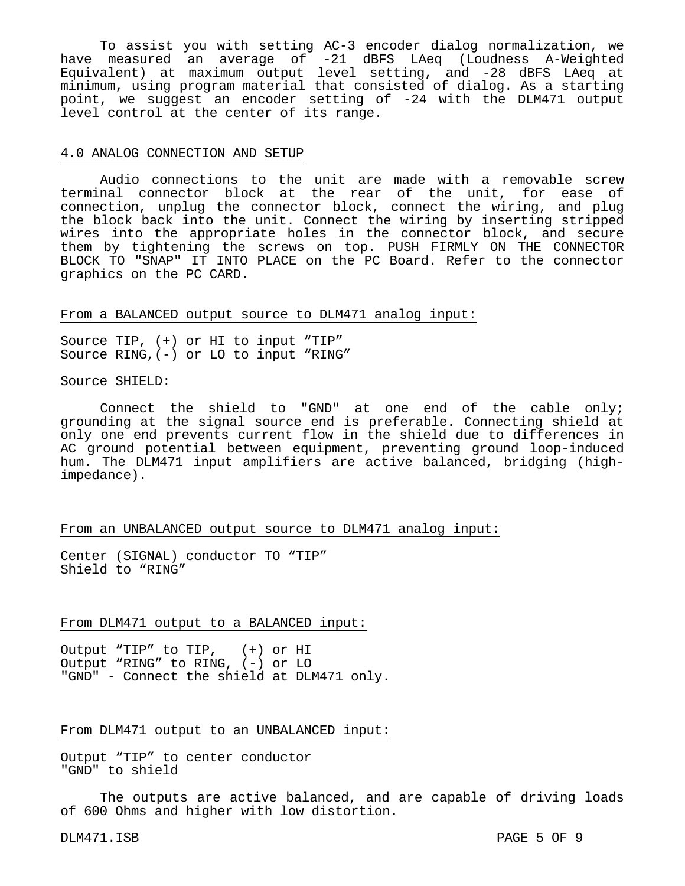To assist you with setting AC-3 encoder dialog normalization, we have measured an average of -21 dBFS LAeq (Loudness A-Weighted Equivalent) at maximum output level setting, and -28 dBFS LAeq at minimum, using program material that consisted of dialog. As a starting point, we suggest an encoder setting of -24 with the DLM471 output level control at the center of its range.

#### 4.0 ANALOG CONNECTION AND SETUP

 Audio connections to the unit are made with a removable screw terminal connector block at the rear of the unit, for ease of connection, unplug the connector block, connect the wiring, and plug the block back into the unit. Connect the wiring by inserting stripped wires into the appropriate holes in the connector block, and secure them by tightening the screws on top. PUSH FIRMLY ON THE CONNECTOR BLOCK TO "SNAP" IT INTO PLACE on the PC Board. Refer to the connector graphics on the PC CARD.

### From a BALANCED output source to DLM471 analog input:

Source TIP, (+) or HI to input "TIP" Source RING,(-) or LO to input "RING"

Source SHIELD:

 Connect the shield to "GND" at one end of the cable only; grounding at the signal source end is preferable. Connecting shield at only one end prevents current flow in the shield due to differences in AC ground potential between equipment, preventing ground loop-induced hum. The DLM471 input amplifiers are active balanced, bridging (highimpedance).

#### From an UNBALANCED output source to DLM471 analog input:

Center (SIGNAL) conductor TO "TIP" Shield to "RING"

#### From DLM471 output to a BALANCED input:

Output "TIP" to TIP, (+) or HI Output "RING" to RING, (-) or LO "GND" - Connect the shield at DLM471 only.

#### From DLM471 output to an UNBALANCED input:

Output "TIP" to center conductor "GND" to shield

 The outputs are active balanced, and are capable of driving loads of 600 Ohms and higher with low distortion.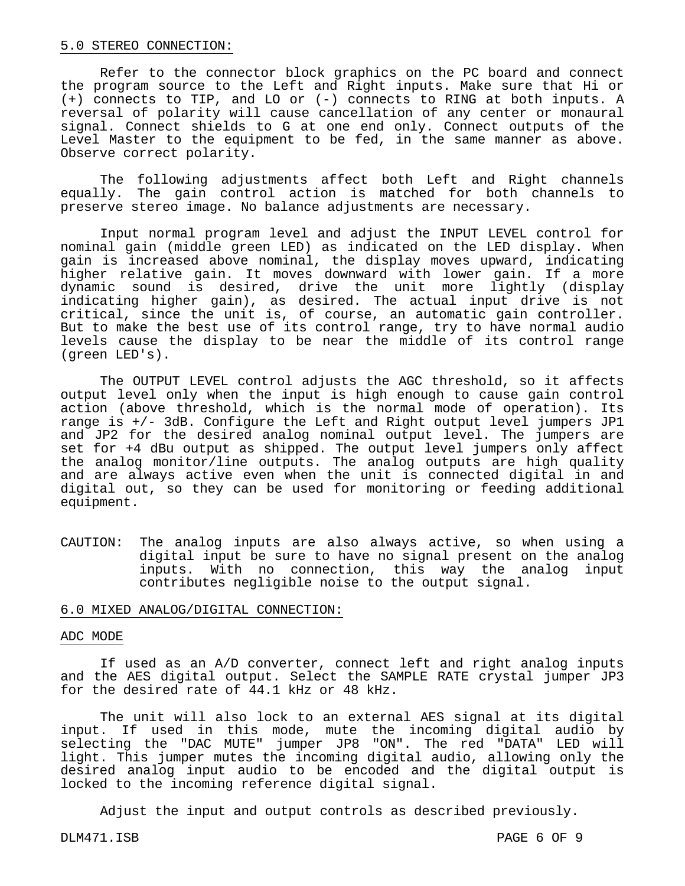#### 5.0 STEREO CONNECTION:

 Refer to the connector block graphics on the PC board and connect the program source to the Left and Right inputs. Make sure that Hi or (+) connects to TIP, and LO or (-) connects to RING at both inputs. A reversal of polarity will cause cancellation of any center or monaural signal. Connect shields to G at one end only. Connect outputs of the Level Master to the equipment to be fed, in the same manner as above. Observe correct polarity.

 The following adjustments affect both Left and Right channels equally. The gain control action is matched for both channels to preserve stereo image. No balance adjustments are necessary.

 Input normal program level and adjust the INPUT LEVEL control for nominal gain (middle green LED) as indicated on the LED display. When gain is increased above nominal, the display moves upward, indicating higher relative gain. It moves downward with lower gain. If a more dynamic sound is desired, drive the unit more lightly (display indicating higher gain), as desired. The actual input drive is not critical, since the unit is, of course, an automatic gain controller. But to make the best use of its control range, try to have normal audio levels cause the display to be near the middle of its control range (green LED's).

 The OUTPUT LEVEL control adjusts the AGC threshold, so it affects output level only when the input is high enough to cause gain control action (above threshold, which is the normal mode of operation). Its range is +/- 3dB. Configure the Left and Right output level jumpers JP1 and JP2 for the desired analog nominal output level. The jumpers are set for +4 dBu output as shipped. The output level jumpers only affect the analog monitor/line outputs. The analog outputs are high quality and are always active even when the unit is connected digital in and digital out, so they can be used for monitoring or feeding additional equipment.

CAUTION: The analog inputs are also always active, so when using a digital input be sure to have no signal present on the analog inputs. With no connection, this way the analog input contributes negligible noise to the output signal.

#### 6.0 MIXED ANALOG/DIGITAL CONNECTION:

#### ADC MODE

 If used as an A/D converter, connect left and right analog inputs and the AES digital output. Select the SAMPLE RATE crystal jumper JP3 for the desired rate of 44.1 kHz or 48 kHz.

 The unit will also lock to an external AES signal at its digital input. If used in this mode, mute the incoming digital audio by selecting the "DAC MUTE" jumper JP8 "ON". The red "DATA" LED will light. This jumper mutes the incoming digital audio, allowing only the desired analog input audio to be encoded and the digital output is locked to the incoming reference digital signal.

Adjust the input and output controls as described previously.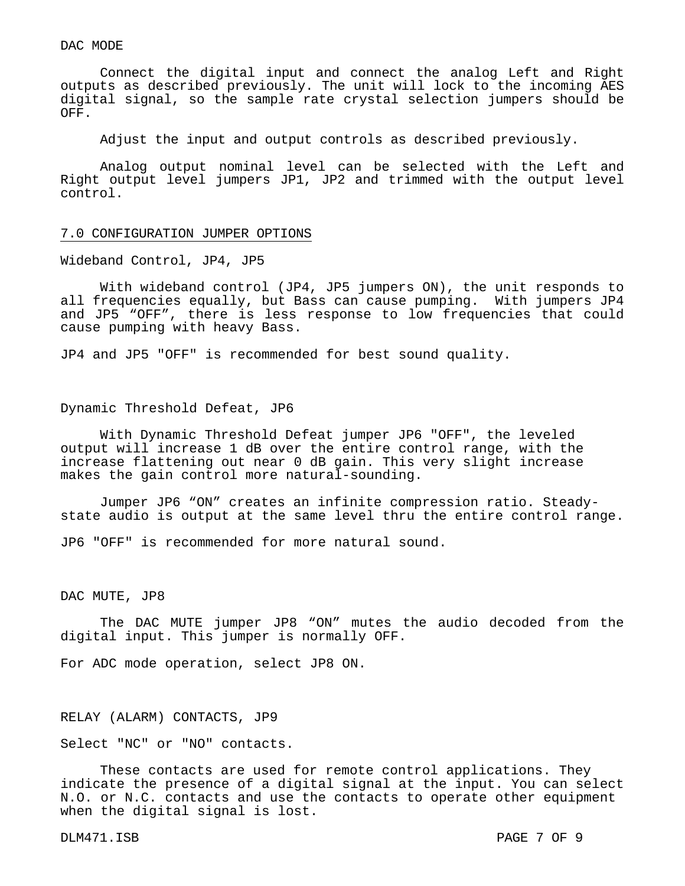#### DAC MODE

 Connect the digital input and connect the analog Left and Right outputs as described previously. The unit will lock to the incoming AES digital signal, so the sample rate crystal selection jumpers should be OFF.

Adjust the input and output controls as described previously.

 Analog output nominal level can be selected with the Left and Right output level jumpers JP1, JP2 and trimmed with the output level control.

#### 7.0 CONFIGURATION JUMPER OPTIONS

Wideband Control, JP4, JP5

With wideband control (JP4, JP5 jumpers ON), the unit responds to all frequencies equally, but Bass can cause pumping. With jumpers JP4 and JP5 "OFF", there is less response to low frequencies that could cause pumping with heavy Bass.

JP4 and JP5 "OFF" is recommended for best sound quality.

#### Dynamic Threshold Defeat, JP6

With Dynamic Threshold Defeat jumper JP6 "OFF", the leveled output will increase 1 dB over the entire control range, with the increase flattening out near 0 dB gain. This very slight increase makes the gain control more natural-sounding.

Jumper JP6 "ON" creates an infinite compression ratio. Steadystate audio is output at the same level thru the entire control range.

JP6 "OFF" is recommended for more natural sound.

#### DAC MUTE, JP8

The DAC MUTE jumper JP8 "ON" mutes the audio decoded from the digital input. This jumper is normally OFF.

For ADC mode operation, select JP8 ON.

#### RELAY (ALARM) CONTACTS, JP9

Select "NC" or "NO" contacts.

 These contacts are used for remote control applications. They indicate the presence of a digital signal at the input. You can select N.O. or N.C. contacts and use the contacts to operate other equipment when the digital signal is lost.

DLM471.ISB PAGE 7 OF 9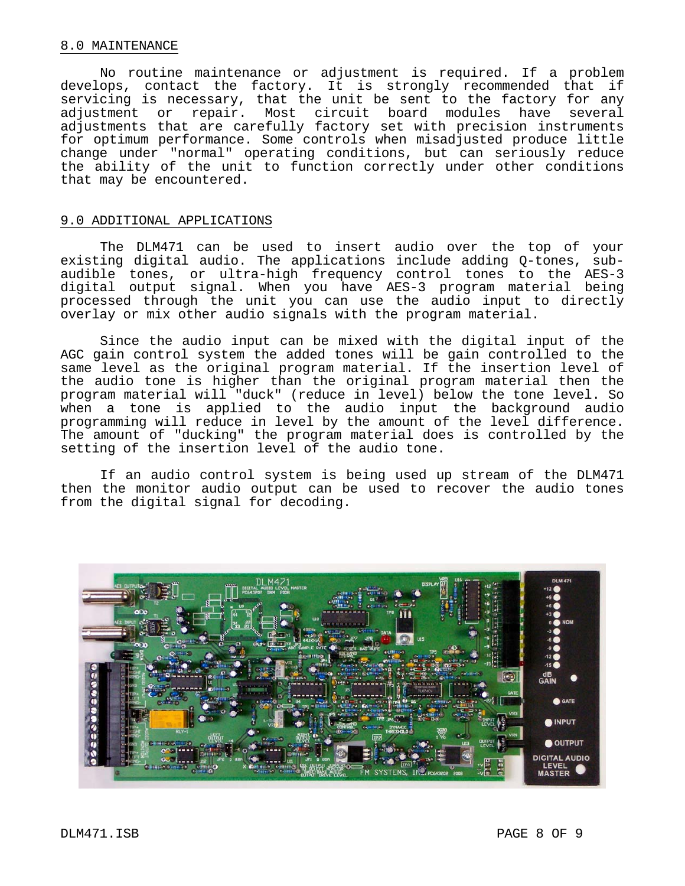#### 8.0 MAINTENANCE

 No routine maintenance or adjustment is required. If a problem develops, contact the factory. It is strongly recommended that if servicing is necessary, that the unit be sent to the factory for any adjustment or repair. Most circuit board modules have several adjustments that are carefully factory set with precision instruments for optimum performance. Some controls when misadjusted produce little change under "normal" operating conditions, but can seriously reduce the ability of the unit to function correctly under other conditions that may be encountered.

#### 9.0 ADDITIONAL APPLICATIONS

 The DLM471 can be used to insert audio over the top of your existing digital audio. The applications include adding Q-tones, subaudible tones, or ultra-high frequency control tones to the AES-3 digital output signal. When you have AES-3 program material being processed through the unit you can use the audio input to directly overlay or mix other audio signals with the program material.

 Since the audio input can be mixed with the digital input of the AGC gain control system the added tones will be gain controlled to the same level as the original program material. If the insertion level of the audio tone is higher than the original program material then the program material will "duck" (reduce in level) below the tone level. So when a tone is applied to the audio input the background audio programming will reduce in level by the amount of the level difference. The amount of "ducking" the program material does is controlled by the setting of the insertion level of the audio tone.

 If an audio control system is being used up stream of the DLM471 then the monitor audio output can be used to recover the audio tones from the digital signal for decoding.